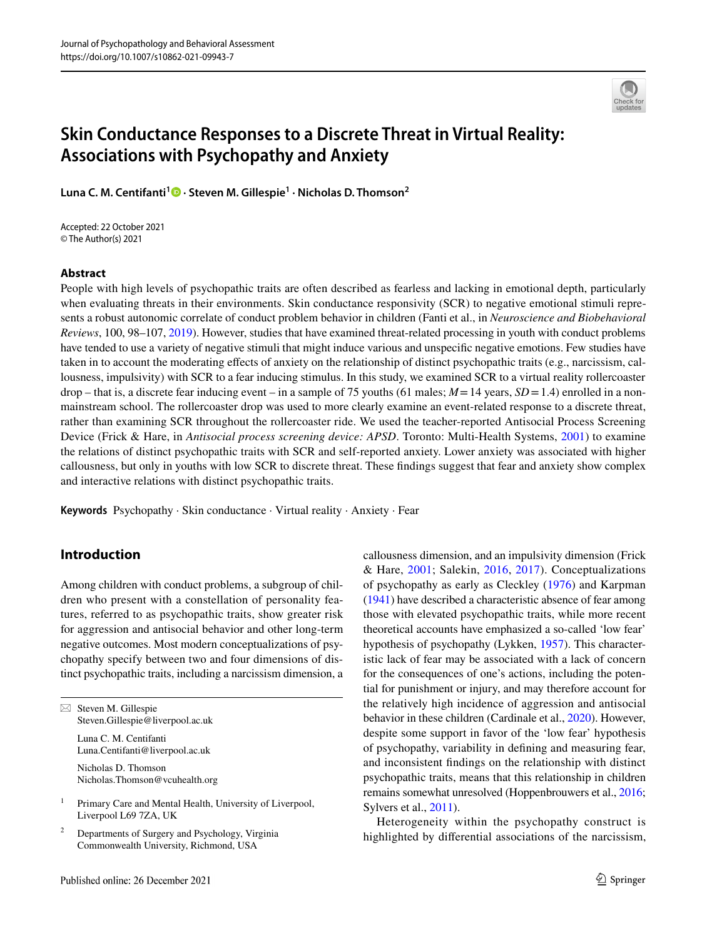

# **Skin Conductance Responses to a Discrete Threat in Virtual Reality: Associations with Psychopathy and Anxiety**

**Luna C. M. Centifanti1  [·](http://orcid.org/0000-0003-4562-8187) Steven M. Gillespie1 · Nicholas D. Thomson2**

Accepted: 22 October 2021 © The Author(s) 2021

## **Abstract**

People with high levels of psychopathic traits are often described as fearless and lacking in emotional depth, particularly when evaluating threats in their environments. Skin conductance responsivity (SCR) to negative emotional stimuli represents a robust autonomic correlate of conduct problem behavior in children (Fanti et al., in *Neuroscience and Biobehavioral Reviews*, 100, 98–107, [2019](#page-10-0)). However, studies that have examined threat-related processing in youth with conduct problems have tended to use a variety of negative stimuli that might induce various and unspecifc negative emotions. Few studies have taken in to account the moderating efects of anxiety on the relationship of distinct psychopathic traits (e.g., narcissism, callousness, impulsivity) with SCR to a fear inducing stimulus. In this study, we examined SCR to a virtual reality rollercoaster drop – that is, a discrete fear inducing event – in a sample of 75 youths (61 males; *M*=14 years, *SD*=1.4) enrolled in a nonmainstream school. The rollercoaster drop was used to more clearly examine an event-related response to a discrete threat, rather than examining SCR throughout the rollercoaster ride. We used the teacher-reported Antisocial Process Screening Device (Frick & Hare, in *Antisocial process screening device: APSD*. Toronto: Multi-Health Systems, [2001](#page-10-1)) to examine the relations of distinct psychopathic traits with SCR and self-reported anxiety. Lower anxiety was associated with higher callousness, but only in youths with low SCR to discrete threat. These fndings suggest that fear and anxiety show complex and interactive relations with distinct psychopathic traits.

**Keywords** Psychopathy · Skin conductance · Virtual reality · Anxiety · Fear

## **Introduction**

Among children with conduct problems, a subgroup of children who present with a constellation of personality features, referred to as psychopathic traits, show greater risk for aggression and antisocial behavior and other long-term negative outcomes. Most modern conceptualizations of psychopathy specify between two and four dimensions of distinct psychopathic traits, including a narcissism dimension, a

Luna C. M. Centifanti Luna.Centifanti@liverpool.ac.uk

Nicholas D. Thomson Nicholas.Thomson@vcuhealth.org

<sup>1</sup> Primary Care and Mental Health, University of Liverpool, Liverpool L69 7ZA, UK

<sup>2</sup> Departments of Surgery and Psychology, Virginia Commonwealth University, Richmond, USA

callousness dimension, and an impulsivity dimension (Frick & Hare, [2001](#page-10-1); Salekin, [2016](#page-10-2), [2017](#page-10-3)). Conceptualizations of psychopathy as early as Cleckley [\(1976\)](#page-9-0) and Karpman [\(1941](#page-10-4)) have described a characteristic absence of fear among those with elevated psychopathic traits, while more recent theoretical accounts have emphasized a so-called 'low fear' hypothesis of psychopathy (Lykken, [1957](#page-10-5)). This characteristic lack of fear may be associated with a lack of concern for the consequences of one's actions, including the potential for punishment or injury, and may therefore account for the relatively high incidence of aggression and antisocial behavior in these children (Cardinale et al., [2020](#page-9-1)). However, despite some support in favor of the 'low fear' hypothesis of psychopathy, variability in defning and measuring fear, and inconsistent fndings on the relationship with distinct psychopathic traits, means that this relationship in children remains somewhat unresolved (Hoppenbrouwers et al., [2016](#page-10-6); Sylvers et al., [2011\)](#page-11-0).

Heterogeneity within the psychopathy construct is highlighted by diferential associations of the narcissism,

 $\boxtimes$  Steven M. Gillespie Steven.Gillespie@liverpool.ac.uk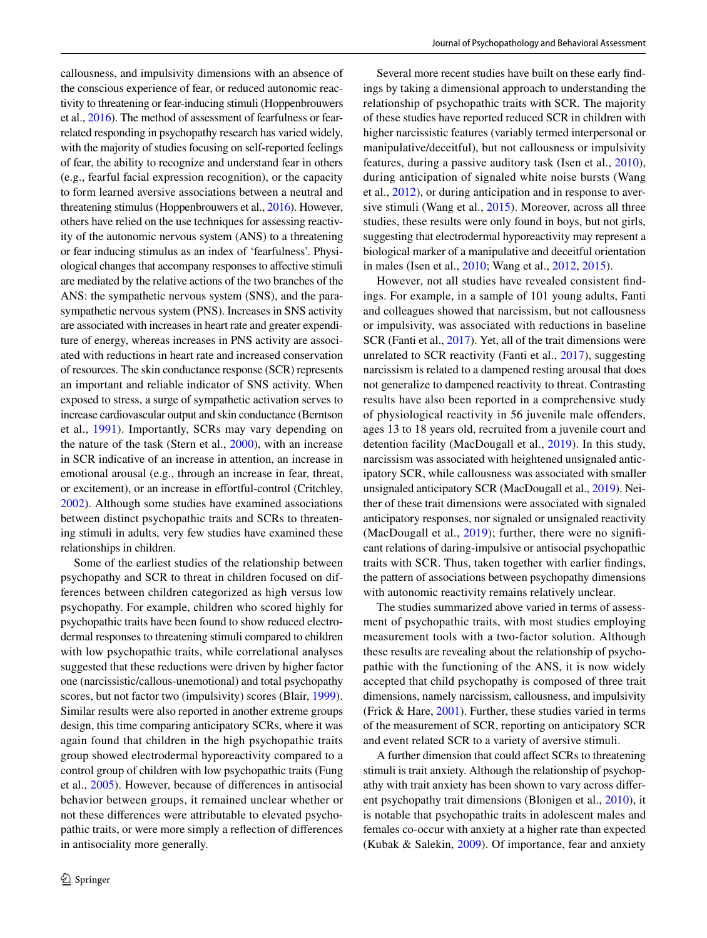callousness, and impulsivity dimensions with an absence of the conscious experience of fear, or reduced autonomic reactivity to threatening or fear-inducing stimuli (Hoppenbrouwers et al., [2016\)](#page-10-6). The method of assessment of fearfulness or fearrelated responding in psychopathy research has varied widely, with the majority of studies focusing on self-reported feelings of fear, the ability to recognize and understand fear in others (e.g., fearful facial expression recognition), or the capacity to form learned aversive associations between a neutral and threatening stimulus (Hoppenbrouwers et al., [2016\)](#page-10-6). However, others have relied on the use techniques for assessing reactivity of the autonomic nervous system (ANS) to a threatening or fear inducing stimulus as an index of 'fearfulness'. Physiological changes that accompany responses to afective stimuli are mediated by the relative actions of the two branches of the ANS: the sympathetic nervous system (SNS), and the parasympathetic nervous system (PNS). Increases in SNS activity are associated with increases in heart rate and greater expenditure of energy, whereas increases in PNS activity are associated with reductions in heart rate and increased conservation of resources. The skin conductance response (SCR) represents an important and reliable indicator of SNS activity. When exposed to stress, a surge of sympathetic activation serves to increase cardiovascular output and skin conductance (Berntson et al., [1991\)](#page-9-2). Importantly, SCRs may vary depending on the nature of the task (Stern et al., [2000\)](#page-11-1), with an increase in SCR indicative of an increase in attention, an increase in emotional arousal (e.g., through an increase in fear, threat, or excitement), or an increase in efortful-control (Critchley, [2002](#page-9-3)). Although some studies have examined associations between distinct psychopathic traits and SCRs to threatening stimuli in adults, very few studies have examined these relationships in children.

Some of the earliest studies of the relationship between psychopathy and SCR to threat in children focused on differences between children categorized as high versus low psychopathy. For example, children who scored highly for psychopathic traits have been found to show reduced electrodermal responses to threatening stimuli compared to children with low psychopathic traits, while correlational analyses suggested that these reductions were driven by higher factor one (narcissistic/callous-unemotional) and total psychopathy scores, but not factor two (impulsivity) scores (Blair, [1999](#page-9-4)). Similar results were also reported in another extreme groups design, this time comparing anticipatory SCRs, where it was again found that children in the high psychopathic traits group showed electrodermal hyporeactivity compared to a control group of children with low psychopathic traits (Fung et al., [2005](#page-10-7)). However, because of diferences in antisocial behavior between groups, it remained unclear whether or not these diferences were attributable to elevated psychopathic traits, or were more simply a refection of diferences in antisociality more generally.

Several more recent studies have built on these early fndings by taking a dimensional approach to understanding the relationship of psychopathic traits with SCR. The majority of these studies have reported reduced SCR in children with higher narcissistic features (variably termed interpersonal or manipulative/deceitful), but not callousness or impulsivity features, during a passive auditory task (Isen et al., [2010](#page-10-8)), during anticipation of signaled white noise bursts (Wang et al., [2012\)](#page-11-2), or during anticipation and in response to aversive stimuli (Wang et al., [2015](#page-11-3)). Moreover, across all three studies, these results were only found in boys, but not girls, suggesting that electrodermal hyporeactivity may represent a biological marker of a manipulative and deceitful orientation in males (Isen et al., [2010;](#page-10-8) Wang et al., [2012,](#page-11-2) [2015\)](#page-11-3).

However, not all studies have revealed consistent fndings. For example, in a sample of 101 young adults, Fanti and colleagues showed that narcissism, but not callousness or impulsivity, was associated with reductions in baseline SCR (Fanti et al., [2017](#page-10-9)). Yet, all of the trait dimensions were unrelated to SCR reactivity (Fanti et al., [2017\)](#page-10-9), suggesting narcissism is related to a dampened resting arousal that does not generalize to dampened reactivity to threat. Contrasting results have also been reported in a comprehensive study of physiological reactivity in 56 juvenile male ofenders, ages 13 to 18 years old, recruited from a juvenile court and detention facility (MacDougall et al., [2019\)](#page-10-10). In this study, narcissism was associated with heightened unsignaled anticipatory SCR, while callousness was associated with smaller unsignaled anticipatory SCR (MacDougall et al., [2019\)](#page-10-10). Neither of these trait dimensions were associated with signaled anticipatory responses, nor signaled or unsignaled reactivity (MacDougall et al.,  $2019$ ); further, there were no significant relations of daring-impulsive or antisocial psychopathic traits with SCR. Thus, taken together with earlier fndings, the pattern of associations between psychopathy dimensions with autonomic reactivity remains relatively unclear.

The studies summarized above varied in terms of assessment of psychopathic traits, with most studies employing measurement tools with a two-factor solution. Although these results are revealing about the relationship of psychopathic with the functioning of the ANS, it is now widely accepted that child psychopathy is composed of three trait dimensions, namely narcissism, callousness, and impulsivity (Frick & Hare, [2001\)](#page-10-1). Further, these studies varied in terms of the measurement of SCR, reporting on anticipatory SCR and event related SCR to a variety of aversive stimuli.

A further dimension that could afect SCRs to threatening stimuli is trait anxiety. Although the relationship of psychopathy with trait anxiety has been shown to vary across diferent psychopathy trait dimensions (Blonigen et al., [2010](#page-9-5)), it is notable that psychopathic traits in adolescent males and females co-occur with anxiety at a higher rate than expected (Kubak & Salekin, [2009\)](#page-10-11). Of importance, fear and anxiety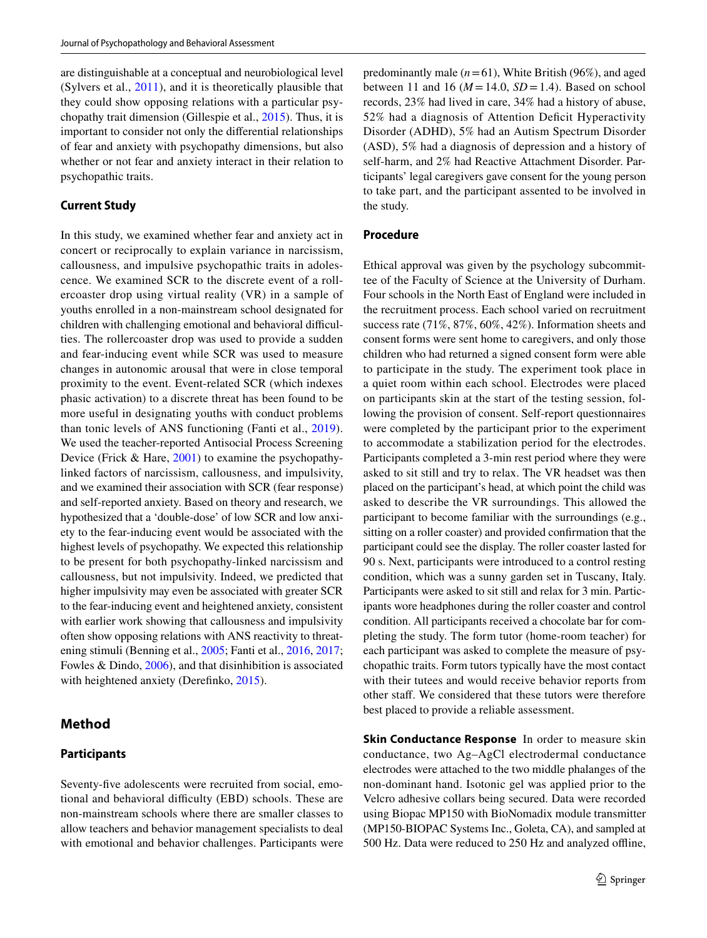are distinguishable at a conceptual and neurobiological level (Sylvers et al., [2011](#page-11-0)), and it is theoretically plausible that they could show opposing relations with a particular psychopathy trait dimension (Gillespie et al., [2015\)](#page-10-12). Thus, it is important to consider not only the diferential relationships of fear and anxiety with psychopathy dimensions, but also whether or not fear and anxiety interact in their relation to psychopathic traits.

## **Current Study**

In this study, we examined whether fear and anxiety act in concert or reciprocally to explain variance in narcissism, callousness, and impulsive psychopathic traits in adolescence. We examined SCR to the discrete event of a rollercoaster drop using virtual reality (VR) in a sample of youths enrolled in a non-mainstream school designated for children with challenging emotional and behavioral difficulties. The rollercoaster drop was used to provide a sudden and fear-inducing event while SCR was used to measure changes in autonomic arousal that were in close temporal proximity to the event. Event-related SCR (which indexes phasic activation) to a discrete threat has been found to be more useful in designating youths with conduct problems than tonic levels of ANS functioning (Fanti et al., [2019](#page-10-0)). We used the teacher-reported Antisocial Process Screening Device (Frick & Hare, [2001](#page-10-1)) to examine the psychopathylinked factors of narcissism, callousness, and impulsivity, and we examined their association with SCR (fear response) and self-reported anxiety. Based on theory and research, we hypothesized that a 'double-dose' of low SCR and low anxiety to the fear-inducing event would be associated with the highest levels of psychopathy. We expected this relationship to be present for both psychopathy-linked narcissism and callousness, but not impulsivity. Indeed, we predicted that higher impulsivity may even be associated with greater SCR to the fear-inducing event and heightened anxiety, consistent with earlier work showing that callousness and impulsivity often show opposing relations with ANS reactivity to threatening stimuli (Benning et al., [2005](#page-9-6); Fanti et al., [2016](#page-10-13), [2017](#page-10-9); Fowles & Dindo, [2006](#page-10-14)), and that disinhibition is associated with heightened anxiety (Derefinko, [2015](#page-9-7)).

## **Method**

#### **Participants**

Seventy-fve adolescents were recruited from social, emotional and behavioral difficulty (EBD) schools. These are non-mainstream schools where there are smaller classes to allow teachers and behavior management specialists to deal with emotional and behavior challenges. Participants were predominantly male (*n*=61), White British (96%), and aged between 11 and 16 ( $M = 14.0$ ,  $SD = 1.4$ ). Based on school records, 23% had lived in care, 34% had a history of abuse, 52% had a diagnosis of Attention Deficit Hyperactivity Disorder (ADHD), 5% had an Autism Spectrum Disorder (ASD), 5% had a diagnosis of depression and a history of self-harm, and 2% had Reactive Attachment Disorder. Participants' legal caregivers gave consent for the young person to take part, and the participant assented to be involved in the study.

## **Procedure**

Ethical approval was given by the psychology subcommittee of the Faculty of Science at the University of Durham. Four schools in the North East of England were included in the recruitment process. Each school varied on recruitment success rate (71%, 87%, 60%, 42%). Information sheets and consent forms were sent home to caregivers, and only those children who had returned a signed consent form were able to participate in the study. The experiment took place in a quiet room within each school. Electrodes were placed on participants skin at the start of the testing session, following the provision of consent. Self-report questionnaires were completed by the participant prior to the experiment to accommodate a stabilization period for the electrodes. Participants completed a 3-min rest period where they were asked to sit still and try to relax. The VR headset was then placed on the participant's head, at which point the child was asked to describe the VR surroundings. This allowed the participant to become familiar with the surroundings (e.g., sitting on a roller coaster) and provided confrmation that the participant could see the display. The roller coaster lasted for 90 s. Next, participants were introduced to a control resting condition, which was a sunny garden set in Tuscany, Italy. Participants were asked to sit still and relax for 3 min. Participants wore headphones during the roller coaster and control condition. All participants received a chocolate bar for completing the study. The form tutor (home-room teacher) for each participant was asked to complete the measure of psychopathic traits. Form tutors typically have the most contact with their tutees and would receive behavior reports from other staf. We considered that these tutors were therefore best placed to provide a reliable assessment.

**Skin Conductance Response** In order to measure skin conductance, two Ag–AgCl electrodermal conductance electrodes were attached to the two middle phalanges of the non-dominant hand. Isotonic gel was applied prior to the Velcro adhesive collars being secured. Data were recorded using Biopac MP150 with BioNomadix module transmitter (MP150-BIOPAC Systems Inc., Goleta, CA), and sampled at 500 Hz. Data were reduced to 250 Hz and analyzed ofine,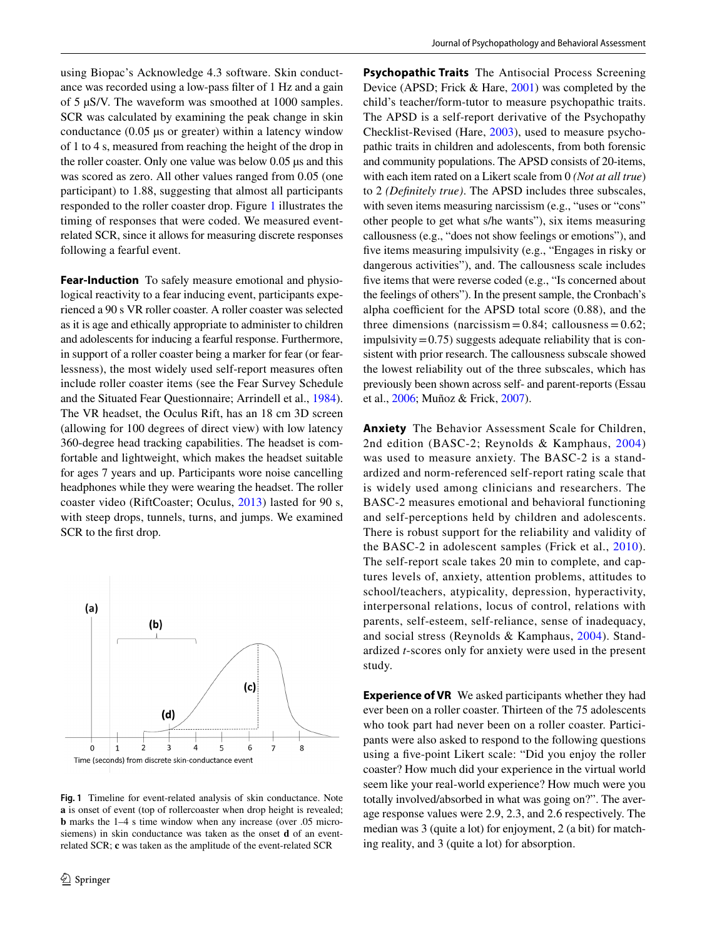using Biopac's Acknowledge 4.3 software. Skin conductance was recorded using a low-pass flter of 1 Hz and a gain of 5 µS/V. The waveform was smoothed at 1000 samples. SCR was calculated by examining the peak change in skin conductance  $(0.05 \mu s)$  or greater) within a latency window of 1 to 4 s, measured from reaching the height of the drop in the roller coaster. Only one value was below 0.05 µs and this was scored as zero. All other values ranged from 0.05 (one participant) to 1.88, suggesting that almost all participants responded to the roller coaster drop. Figure [1](#page-3-0) illustrates the timing of responses that were coded. We measured eventrelated SCR, since it allows for measuring discrete responses following a fearful event.

**Fear-Induction** To safely measure emotional and physiological reactivity to a fear inducing event, participants experienced a 90 s VR roller coaster. A roller coaster was selected as it is age and ethically appropriate to administer to children and adolescents for inducing a fearful response. Furthermore, in support of a roller coaster being a marker for fear (or fearlessness), the most widely used self-report measures often include roller coaster items (see the Fear Survey Schedule and the Situated Fear Questionnaire; Arrindell et al., [1984](#page-9-8)). The VR headset, the Oculus Rift, has an 18 cm 3D screen (allowing for 100 degrees of direct view) with low latency 360-degree head tracking capabilities. The headset is comfortable and lightweight, which makes the headset suitable for ages 7 years and up. Participants wore noise cancelling headphones while they were wearing the headset. The roller coaster video (RiftCoaster; Oculus, [2013](#page-10-15)) lasted for 90 s, with steep drops, tunnels, turns, and jumps. We examined SCR to the frst drop.



<span id="page-3-0"></span>**Fig. 1** Timeline for event-related analysis of skin conductance. Note **a** is onset of event (top of rollercoaster when drop height is revealed; **b** marks the 1–4 s time window when any increase (over .05 microsiemens) in skin conductance was taken as the onset **d** of an eventrelated SCR; **c** was taken as the amplitude of the event-related SCR

**Psychopathic Traits** The Antisocial Process Screening Device (APSD; Frick & Hare, [2001\)](#page-10-1) was completed by the child's teacher/form-tutor to measure psychopathic traits. The APSD is a self-report derivative of the Psychopathy Checklist-Revised (Hare, [2003](#page-10-16)), used to measure psychopathic traits in children and adolescents, from both forensic and community populations. The APSD consists of 20-items, with each item rated on a Likert scale from 0 *(Not at all true*) to 2 *(Defnitely true)*. The APSD includes three subscales, with seven items measuring narcissism (e.g., "uses or "cons" other people to get what s/he wants"), six items measuring callousness (e.g., "does not show feelings or emotions"), and fve items measuring impulsivity (e.g., "Engages in risky or dangerous activities"), and. The callousness scale includes fve items that were reverse coded (e.g., "Is concerned about the feelings of others"). In the present sample, the Cronbach's alpha coefficient for the APSD total score  $(0.88)$ , and the three dimensions (narcissism =  $0.84$ ; callousness =  $0.62$ ;  $impulsivity = 0.75$ ) suggests adequate reliability that is consistent with prior research. The callousness subscale showed the lowest reliability out of the three subscales, which has previously been shown across self- and parent-reports (Essau et al., [2006](#page-10-17); Muñoz & Frick, [2007](#page-10-18)).

**Anxiety** The Behavior Assessment Scale for Children, 2nd edition (BASC-2; Reynolds & Kamphaus, [2004\)](#page-10-19) was used to measure anxiety. The BASC-2 is a standardized and norm-referenced self-report rating scale that is widely used among clinicians and researchers. The BASC-2 measures emotional and behavioral functioning and self-perceptions held by children and adolescents. There is robust support for the reliability and validity of the BASC-2 in adolescent samples (Frick et al., [2010](#page-10-20)). The self-report scale takes 20 min to complete, and captures levels of, anxiety, attention problems, attitudes to school/teachers, atypicality, depression, hyperactivity, interpersonal relations, locus of control, relations with parents, self-esteem, self-reliance, sense of inadequacy, and social stress (Reynolds & Kamphaus, [2004\)](#page-10-19). Standardized *t*-scores only for anxiety were used in the present study.

**Experience of VR** We asked participants whether they had ever been on a roller coaster. Thirteen of the 75 adolescents who took part had never been on a roller coaster. Participants were also asked to respond to the following questions using a fve-point Likert scale: "Did you enjoy the roller coaster? How much did your experience in the virtual world seem like your real-world experience? How much were you totally involved/absorbed in what was going on?". The average response values were 2.9, 2.3, and 2.6 respectively. The median was 3 (quite a lot) for enjoyment, 2 (a bit) for matching reality, and 3 (quite a lot) for absorption.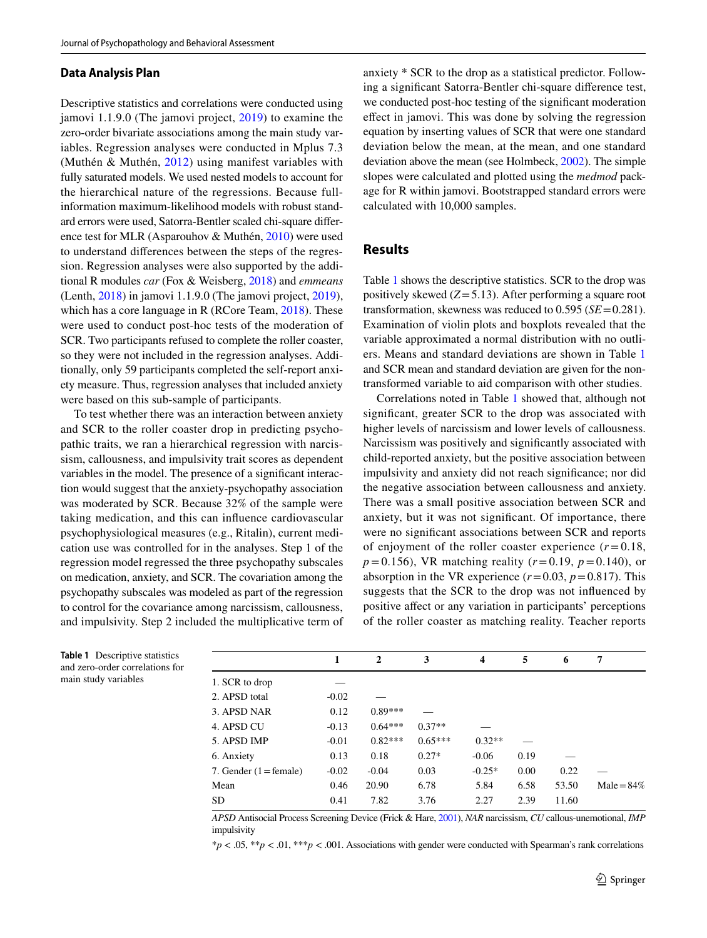#### **Data Analysis Plan**

Descriptive statistics and correlations were conducted using jamovi 1.1.9.0 (The jamovi project, [2019\)](#page-11-4) to examine the zero-order bivariate associations among the main study variables. Regression analyses were conducted in Mplus 7.3 (Muthén & Muthén, [2012](#page-10-21)) using manifest variables with fully saturated models. We used nested models to account for the hierarchical nature of the regressions. Because fullinformation maximum-likelihood models with robust standard errors were used, Satorra-Bentler scaled chi-square diference test for MLR (Asparouhov & Muthén, [2010\)](#page-9-9) were used to understand diferences between the steps of the regression. Regression analyses were also supported by the additional R modules *car* (Fox & Weisberg, [2018\)](#page-10-22) and *emmeans* (Lenth, [2018\)](#page-10-23) in jamovi 1.1.9.0 (The jamovi project, [2019](#page-11-4)), which has a core language in R (RCore Team, [2018\)](#page-10-24). These were used to conduct post-hoc tests of the moderation of SCR. Two participants refused to complete the roller coaster, so they were not included in the regression analyses. Additionally, only 59 participants completed the self-report anxiety measure. Thus, regression analyses that included anxiety were based on this sub-sample of participants.

To test whether there was an interaction between anxiety and SCR to the roller coaster drop in predicting psychopathic traits, we ran a hierarchical regression with narcissism, callousness, and impulsivity trait scores as dependent variables in the model. The presence of a signifcant interaction would suggest that the anxiety-psychopathy association was moderated by SCR. Because 32% of the sample were taking medication, and this can infuence cardiovascular psychophysiological measures (e.g., Ritalin), current medication use was controlled for in the analyses. Step 1 of the regression model regressed the three psychopathy subscales on medication, anxiety, and SCR. The covariation among the psychopathy subscales was modeled as part of the regression to control for the covariance among narcissism, callousness, and impulsivity. Step 2 included the multiplicative term of anxiety \* SCR to the drop as a statistical predictor. Following a signifcant Satorra-Bentler chi-square diference test, we conducted post-hoc testing of the signifcant moderation efect in jamovi. This was done by solving the regression equation by inserting values of SCR that were one standard deviation below the mean, at the mean, and one standard deviation above the mean (see Holmbeck, [2002](#page-10-25)). The simple slopes were calculated and plotted using the *medmod* package for R within jamovi. Bootstrapped standard errors were calculated with 10,000 samples.

#### **Results**

Table [1](#page-4-0) shows the descriptive statistics. SCR to the drop was positively skewed (*Z*=5.13). After performing a square root transformation, skewness was reduced to 0.595 (*SE*=0.281). Examination of violin plots and boxplots revealed that the variable approximated a normal distribution with no outliers. Means and standard deviations are shown in Table [1](#page-4-0) and SCR mean and standard deviation are given for the nontransformed variable to aid comparison with other studies.

Correlations noted in Table [1](#page-4-0) showed that, although not signifcant, greater SCR to the drop was associated with higher levels of narcissism and lower levels of callousness. Narcissism was positively and signifcantly associated with child-reported anxiety, but the positive association between impulsivity and anxiety did not reach signifcance; nor did the negative association between callousness and anxiety. There was a small positive association between SCR and anxiety, but it was not signifcant. Of importance, there were no signifcant associations between SCR and reports of enjoyment of the roller coaster experience  $(r=0.18,$ *p*=0.156), VR matching reality (*r*=0.19, *p*=0.140), or absorption in the VR experience  $(r=0.03, p=0.817)$ . This suggests that the SCR to the drop was not infuenced by positive afect or any variation in participants' perceptions of the roller coaster as matching reality. Teacher reports

|                                 | 1       | $\mathbf{2}$ | 3         | $\overline{\mathbf{4}}$ | 5    | 6     | 7             |
|---------------------------------|---------|--------------|-----------|-------------------------|------|-------|---------------|
| 1. SCR to drop                  |         |              |           |                         |      |       |               |
| 2. APSD total                   | $-0.02$ |              |           |                         |      |       |               |
| 3. APSD NAR                     | 0.12    | $0.89***$    |           |                         |      |       |               |
| 4. APSD CU                      | $-0.13$ | $0.64***$    | $0.37**$  |                         |      |       |               |
| 5. APSD IMP                     | $-0.01$ | $0.82***$    | $0.65***$ | $0.32**$                |      |       |               |
| 6. Anxiety                      | 0.13    | 0.18         | $0.27*$   | $-0.06$                 | 0.19 |       |               |
| 7. Gender $(1 = \text{female})$ | $-0.02$ | $-0.04$      | 0.03      | $-0.25*$                | 0.00 | 0.22  |               |
| Mean                            | 0.46    | 20.90        | 6.78      | 5.84                    | 6.58 | 53.50 | $Male = 84\%$ |
| <b>SD</b>                       | 0.41    | 7.82         | 3.76      | 2.27                    | 2.39 | 11.60 |               |

*APSD* Antisocial Process Screening Device (Frick & Hare, [2001\)](#page-10-1), *NAR* narcissism, *CU* callous-unemotional, *IMP* impulsivity

\**p* < .05, \*\**p* < .01, \*\*\**p* < .001. Associations with gender were conducted with Spearman's rank correlations

<span id="page-4-0"></span>**Table 1** Descriptive statistics and zero-order correlations for main study variables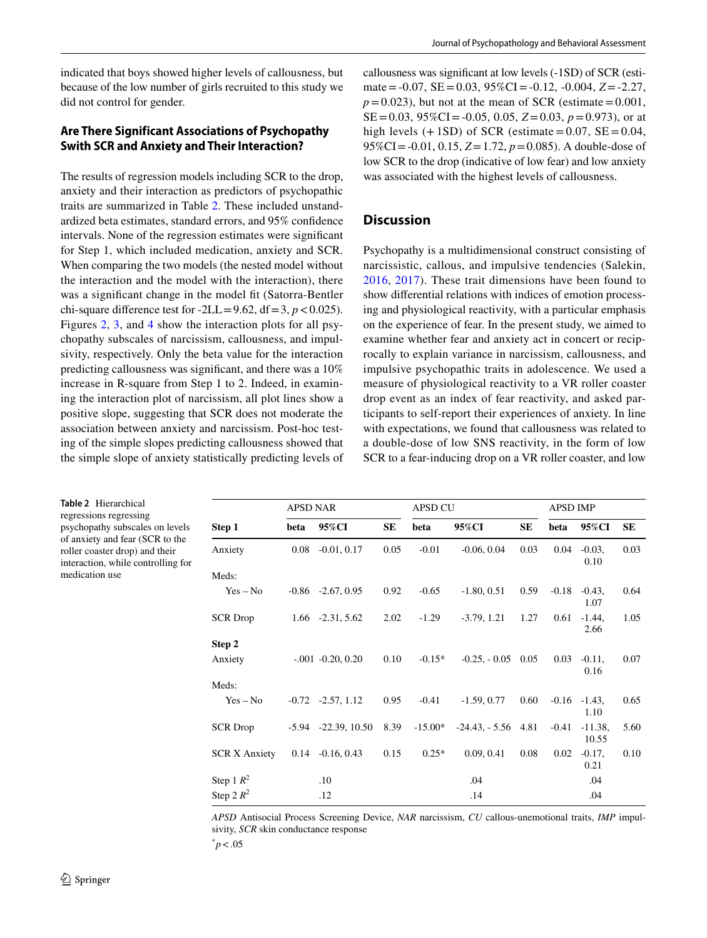indicated that boys showed higher levels of callousness, but because of the low number of girls recruited to this study we did not control for gender.

## **Are There Significant Associations of Psychopathy Swith SCR and Anxiety and Their Interaction?**

The results of regression models including SCR to the drop, anxiety and their interaction as predictors of psychopathic traits are summarized in Table [2.](#page-5-0) These included unstandardized beta estimates, standard errors, and 95% confdence intervals. None of the regression estimates were signifcant for Step 1, which included medication, anxiety and SCR. When comparing the two models (the nested model without the interaction and the model with the interaction), there was a signifcant change in the model ft (Satorra-Bentler chi-square difference test for  $-2LL = 9.62$ , df = 3,  $p < 0.025$ ). Figures [2](#page-6-0), [3,](#page-6-1) and [4](#page-7-0) show the interaction plots for all psychopathy subscales of narcissism, callousness, and impulsivity, respectively. Only the beta value for the interaction predicting callousness was signifcant, and there was a 10% increase in R-square from Step 1 to 2. Indeed, in examining the interaction plot of narcissism, all plot lines show a positive slope, suggesting that SCR does not moderate the association between anxiety and narcissism. Post-hoc testing of the simple slopes predicting callousness showed that the simple slope of anxiety statistically predicting levels of callousness was signifcant at low levels (-1SD) of SCR (estimate=-0.07, SE=0.03, 95%CI=-0.12, -0.004, *Z*=-2.27,  $p=0.023$ ), but not at the mean of SCR (estimate = 0.001, SE=0.03, 95%CI=-0.05, 0.05, *Z*=0.03, *p*=0.973), or at high levels  $(+1SD)$  of SCR (estimate = 0.07, SE = 0.04, 95%CI=-0.01, 0.15, *Z*=1.72, *p*=0.085). A double-dose of low SCR to the drop (indicative of low fear) and low anxiety was associated with the highest levels of callousness.

## **Discussion**

Psychopathy is a multidimensional construct consisting of narcissistic, callous, and impulsive tendencies (Salekin, [2016,](#page-10-2) [2017\)](#page-10-3). These trait dimensions have been found to show diferential relations with indices of emotion processing and physiological reactivity, with a particular emphasis on the experience of fear. In the present study, we aimed to examine whether fear and anxiety act in concert or reciprocally to explain variance in narcissism, callousness, and impulsive psychopathic traits in adolescence. We used a measure of physiological reactivity to a VR roller coaster drop event as an index of fear reactivity, and asked participants to self-report their experiences of anxiety. In line with expectations, we found that callousness was related to a double-dose of low SNS reactivity, in the form of low SCR to a fear-inducing drop on a VR roller coaster, and low

|                      | <b>APSD NAR</b> |                          |      | <b>APSD CU</b> |                 |      | <b>APSD IMP</b> |                         |      |
|----------------------|-----------------|--------------------------|------|----------------|-----------------|------|-----------------|-------------------------|------|
| Step 1               | beta            | 95%CI                    | SE   | beta           | 95%CI           | SE   | beta            | 95%CI                   | SE   |
| Anxiety              | 0.08            | $-0.01, 0.17$            | 0.05 | $-0.01$        | $-0.06, 0.04$   | 0.03 | 0.04            | $-0.03$ ,<br>0.10       | 0.03 |
| Meds:                |                 |                          |      |                |                 |      |                 |                         |      |
| $Yes - No$           |                 | $-0.86$ $-2.67, 0.95$    | 0.92 | $-0.65$        | $-1.80, 0.51$   | 0.59 | $-0.18$         | $-0.43$ ,<br>1.07       | 0.64 |
| <b>SCR</b> Drop      |                 | $1.66$ $-2.31, 5.62$     | 2.02 | $-1.29$        | $-3.79, 1.21$   | 1.27 | 0.61            | $-1.44.$<br>2.66        | 1.05 |
| Step 2               |                 |                          |      |                |                 |      |                 |                         |      |
| Anxiety              |                 | $-.001 -0.20, 0.20$      | 0.10 | $-0.15*$       | $-0.25, -0.05$  | 0.05 | 0.03            | $-0.11$ ,<br>0.16       | 0.07 |
| Meds:                |                 |                          |      |                |                 |      |                 |                         |      |
| $Yes - No$           |                 | $-0.72$ $-2.57$ , 1.12   | 0.95 | $-0.41$        | $-1.59, 0.77$   | 0.60 |                 | $-0.16 -1.43$ ,<br>1.10 | 0.65 |
| <b>SCR</b> Drop      |                 | $-5.94$ $-22.39$ , 10.50 | 8.39 | $-15.00*$      | $-24.43 - 5.56$ | 4.81 | $-0.41$         | $-11.38,$<br>10.55      | 5.60 |
| <b>SCR X Anxiety</b> | 0.14            | $-0.16, 0.43$            | 0.15 | $0.25*$        | 0.09, 0.41      | 0.08 | 0.02            | $-0.17$ ,<br>0.21       | 0.10 |
| Step 1 $R^2$         |                 | .10                      |      |                | .04             |      |                 | .04                     |      |
| Step 2 $R^2$         |                 | .12                      |      |                | .14             |      |                 | .04                     |      |

*APSD* Antisocial Process Screening Device, *NAR* narcissism, *CU* callous-unemotional traits, *IMP* impulsivity, *SCR* skin conductance response

 $\degree p < .05$ 

<span id="page-5-0"></span>**Table 2** Hierarchical regressions regressing psychopathy subscales on levels of anxiety and fear (SCR to the roller coaster drop) and their interaction, while controlling for

medication use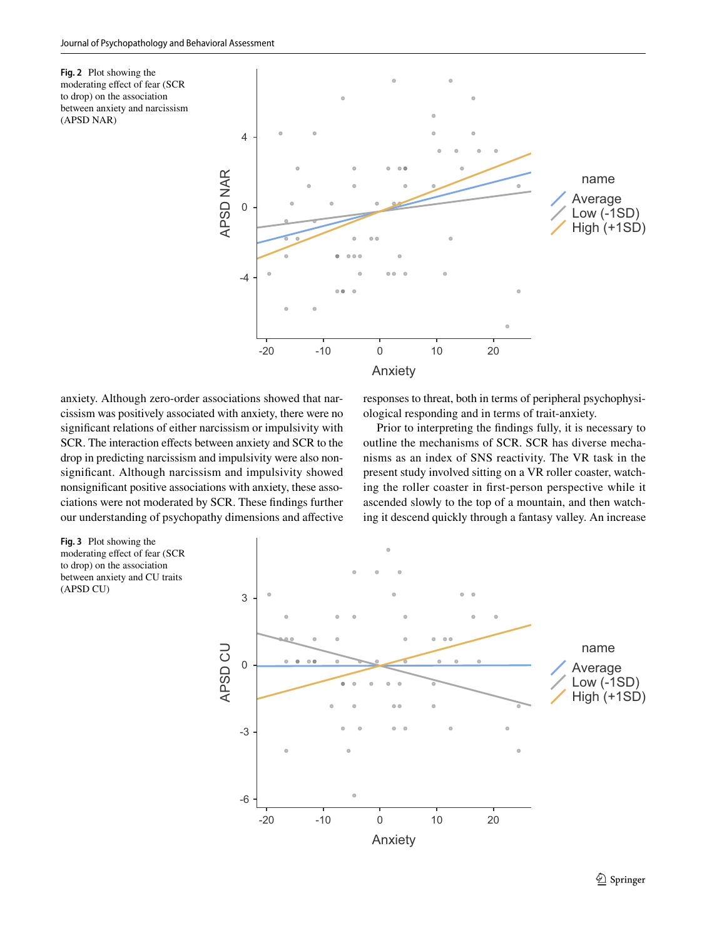<span id="page-6-0"></span>**Fig. 2** Plot showing the moderating efect of fear (SCR to drop) on the association between anxiety and narcissism (APSD NAR)



anxiety. Although zero-order associations showed that narcissism was positively associated with anxiety, there were no signifcant relations of either narcissism or impulsivity with SCR. The interaction effects between anxiety and SCR to the drop in predicting narcissism and impulsivity were also nonsignifcant. Although narcissism and impulsivity showed nonsignifcant positive associations with anxiety, these associations were not moderated by SCR. These fndings further our understanding of psychopathy dimensions and afective responses to threat, both in terms of peripheral psychophysiological responding and in terms of trait-anxiety.

Prior to interpreting the fndings fully, it is necessary to outline the mechanisms of SCR. SCR has diverse mechanisms as an index of SNS reactivity. The VR task in the present study involved sitting on a VR roller coaster, watching the roller coaster in frst-person perspective while it ascended slowly to the top of a mountain, and then watching it descend quickly through a fantasy valley. An increase

<span id="page-6-1"></span>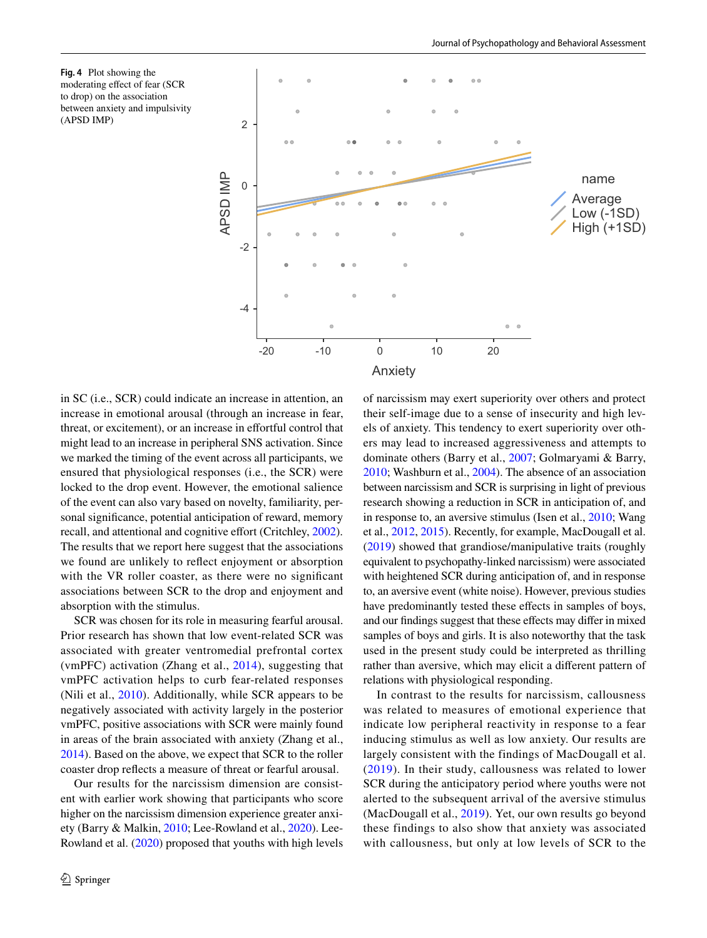<span id="page-7-0"></span>



in SC (i.e., SCR) could indicate an increase in attention, an increase in emotional arousal (through an increase in fear, threat, or excitement), or an increase in efortful control that might lead to an increase in peripheral SNS activation. Since we marked the timing of the event across all participants, we ensured that physiological responses (i.e., the SCR) were locked to the drop event. However, the emotional salience of the event can also vary based on novelty, familiarity, personal signifcance, potential anticipation of reward, memory recall, and attentional and cognitive effort (Critchley, [2002](#page-9-3)). The results that we report here suggest that the associations we found are unlikely to refect enjoyment or absorption with the VR roller coaster, as there were no significant associations between SCR to the drop and enjoyment and absorption with the stimulus.

SCR was chosen for its role in measuring fearful arousal. Prior research has shown that low event-related SCR was associated with greater ventromedial prefrontal cortex (vmPFC) activation (Zhang et al., [2014\)](#page-11-5), suggesting that vmPFC activation helps to curb fear-related responses (Nili et al., [2010](#page-10-26)). Additionally, while SCR appears to be negatively associated with activity largely in the posterior vmPFC, positive associations with SCR were mainly found in areas of the brain associated with anxiety (Zhang et al., [2014](#page-11-5)). Based on the above, we expect that SCR to the roller coaster drop refects a measure of threat or fearful arousal.

Our results for the narcissism dimension are consistent with earlier work showing that participants who score higher on the narcissism dimension experience greater anxiety (Barry & Malkin, [2010;](#page-9-10) Lee-Rowland et al., [2020\)](#page-10-27). Lee-Rowland et al. [\(2020](#page-10-27)) proposed that youths with high levels of narcissism may exert superiority over others and protect their self-image due to a sense of insecurity and high levels of anxiety. This tendency to exert superiority over others may lead to increased aggressiveness and attempts to dominate others (Barry et al., [2007;](#page-9-11) Golmaryami & Barry, [2010](#page-10-28); Washburn et al., [2004\)](#page-11-6). The absence of an association between narcissism and SCR is surprising in light of previous research showing a reduction in SCR in anticipation of, and in response to, an aversive stimulus (Isen et al., [2010;](#page-10-8) Wang et al., [2012,](#page-11-2) [2015](#page-11-3)). Recently, for example, MacDougall et al. ([2019\)](#page-10-10) showed that grandiose/manipulative traits (roughly equivalent to psychopathy-linked narcissism) were associated with heightened SCR during anticipation of, and in response to, an aversive event (white noise). However, previous studies have predominantly tested these effects in samples of boys, and our fndings suggest that these efects may difer in mixed samples of boys and girls. It is also noteworthy that the task used in the present study could be interpreted as thrilling rather than aversive, which may elicit a diferent pattern of relations with physiological responding.

In contrast to the results for narcissism, callousness was related to measures of emotional experience that indicate low peripheral reactivity in response to a fear inducing stimulus as well as low anxiety. Our results are largely consistent with the findings of MacDougall et al. ([2019](#page-10-10)). In their study, callousness was related to lower SCR during the anticipatory period where youths were not alerted to the subsequent arrival of the aversive stimulus (MacDougall et al., [2019\)](#page-10-10). Yet, our own results go beyond these findings to also show that anxiety was associated with callousness, but only at low levels of SCR to the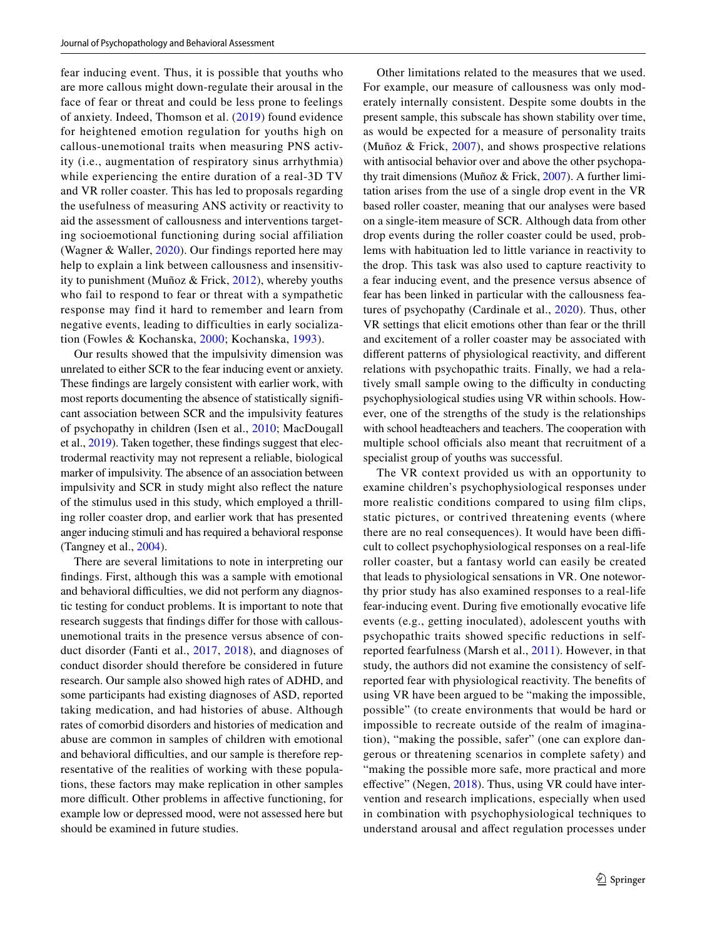fear inducing event. Thus, it is possible that youths who are more callous might down-regulate their arousal in the face of fear or threat and could be less prone to feelings of anxiety. Indeed, Thomson et al. ([2019\)](#page-11-7) found evidence for heightened emotion regulation for youths high on callous-unemotional traits when measuring PNS activity (i.e., augmentation of respiratory sinus arrhythmia) while experiencing the entire duration of a real-3D TV and VR roller coaster. This has led to proposals regarding the usefulness of measuring ANS activity or reactivity to aid the assessment of callousness and interventions targeting socioemotional functioning during social affiliation (Wagner & Waller, [2020\)](#page-11-8). Our findings reported here may help to explain a link between callousness and insensitivity to punishment (Muñoz & Frick,  $2012$ ), whereby youths who fail to respond to fear or threat with a sympathetic response may find it hard to remember and learn from negative events, leading to difficulties in early socialization (Fowles & Kochanska, [2000](#page-10-30); Kochanska, [1993\)](#page-10-31).

Our results showed that the impulsivity dimension was unrelated to either SCR to the fear inducing event or anxiety. These fndings are largely consistent with earlier work, with most reports documenting the absence of statistically signifcant association between SCR and the impulsivity features of psychopathy in children (Isen et al., [2010;](#page-10-8) MacDougall et al., [2019](#page-10-10)). Taken together, these fndings suggest that electrodermal reactivity may not represent a reliable, biological marker of impulsivity. The absence of an association between impulsivity and SCR in study might also refect the nature of the stimulus used in this study, which employed a thrilling roller coaster drop, and earlier work that has presented anger inducing stimuli and has required a behavioral response (Tangney et al., [2004](#page-11-9)).

There are several limitations to note in interpreting our fndings. First, although this was a sample with emotional and behavioral difficulties, we did not perform any diagnostic testing for conduct problems. It is important to note that research suggests that fndings difer for those with callousunemotional traits in the presence versus absence of conduct disorder (Fanti et al., [2017](#page-10-9), [2018\)](#page-10-32), and diagnoses of conduct disorder should therefore be considered in future research. Our sample also showed high rates of ADHD, and some participants had existing diagnoses of ASD, reported taking medication, and had histories of abuse. Although rates of comorbid disorders and histories of medication and abuse are common in samples of children with emotional and behavioral difficulties, and our sample is therefore representative of the realities of working with these populations, these factors may make replication in other samples more difficult. Other problems in affective functioning, for example low or depressed mood, were not assessed here but should be examined in future studies.

Other limitations related to the measures that we used. For example, our measure of callousness was only moderately internally consistent. Despite some doubts in the present sample, this subscale has shown stability over time, as would be expected for a measure of personality traits (Muñoz & Frick, [2007\)](#page-10-18), and shows prospective relations with antisocial behavior over and above the other psychopathy trait dimensions (Muñoz & Frick, [2007](#page-10-18)). A further limitation arises from the use of a single drop event in the VR based roller coaster, meaning that our analyses were based on a single-item measure of SCR. Although data from other drop events during the roller coaster could be used, problems with habituation led to little variance in reactivity to the drop. This task was also used to capture reactivity to a fear inducing event, and the presence versus absence of fear has been linked in particular with the callousness features of psychopathy (Cardinale et al., [2020](#page-9-1)). Thus, other VR settings that elicit emotions other than fear or the thrill and excitement of a roller coaster may be associated with diferent patterns of physiological reactivity, and diferent relations with psychopathic traits. Finally, we had a relatively small sample owing to the difficulty in conducting psychophysiological studies using VR within schools. However, one of the strengths of the study is the relationships with school headteachers and teachers. The cooperation with multiple school officials also meant that recruitment of a specialist group of youths was successful.

The VR context provided us with an opportunity to examine children's psychophysiological responses under more realistic conditions compared to using flm clips, static pictures, or contrived threatening events (where there are no real consequences). It would have been difficult to collect psychophysiological responses on a real-life roller coaster, but a fantasy world can easily be created that leads to physiological sensations in VR. One noteworthy prior study has also examined responses to a real-life fear-inducing event. During fve emotionally evocative life events (e.g., getting inoculated), adolescent youths with psychopathic traits showed specifc reductions in selfreported fearfulness (Marsh et al., [2011](#page-10-33)). However, in that study, the authors did not examine the consistency of selfreported fear with physiological reactivity. The benefts of using VR have been argued to be "making the impossible, possible" (to create environments that would be hard or impossible to recreate outside of the realm of imagination), "making the possible, safer" (one can explore dangerous or threatening scenarios in complete safety) and "making the possible more safe, more practical and more effective" (Negen, [2018](#page-10-34)). Thus, using VR could have intervention and research implications, especially when used in combination with psychophysiological techniques to understand arousal and afect regulation processes under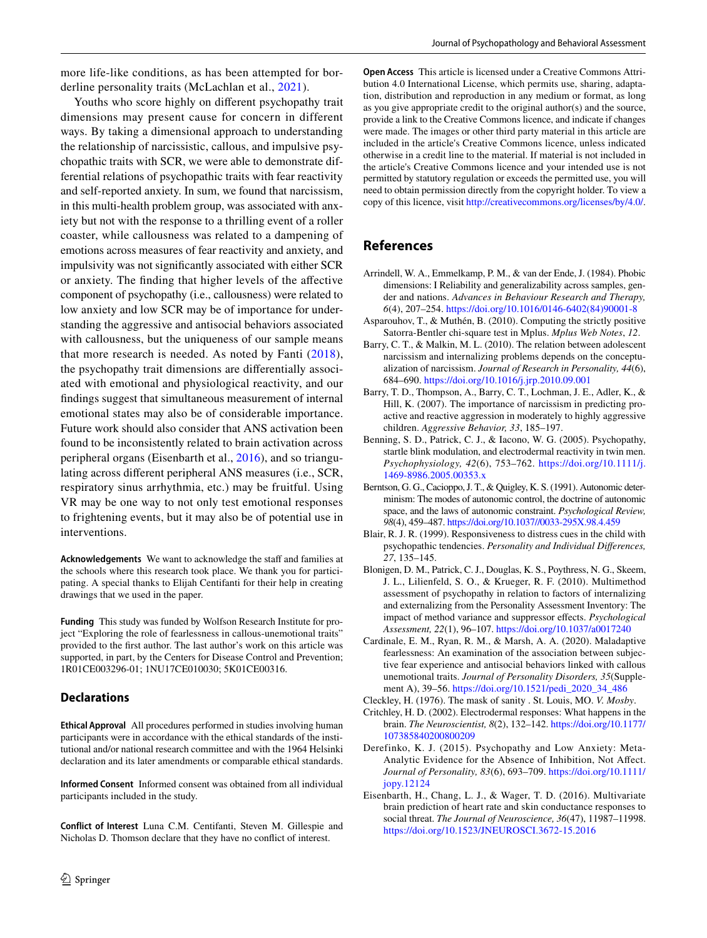Youths who score highly on diferent psychopathy trait dimensions may present cause for concern in different ways. By taking a dimensional approach to understanding the relationship of narcissistic, callous, and impulsive psychopathic traits with SCR, we were able to demonstrate differential relations of psychopathic traits with fear reactivity and self-reported anxiety. In sum, we found that narcissism, in this multi-health problem group, was associated with anxiety but not with the response to a thrilling event of a roller coaster, while callousness was related to a dampening of emotions across measures of fear reactivity and anxiety, and impulsivity was not signifcantly associated with either SCR or anxiety. The fnding that higher levels of the afective component of psychopathy (i.e., callousness) were related to low anxiety and low SCR may be of importance for understanding the aggressive and antisocial behaviors associated with callousness, but the uniqueness of our sample means that more research is needed. As noted by Fanti [\(2018](#page-10-36)), the psychopathy trait dimensions are diferentially associated with emotional and physiological reactivity, and our fndings suggest that simultaneous measurement of internal emotional states may also be of considerable importance. Future work should also consider that ANS activation been found to be inconsistently related to brain activation across peripheral organs (Eisenbarth et al., [2016\)](#page-9-12), and so triangulating across diferent peripheral ANS measures (i.e., SCR, respiratory sinus arrhythmia, etc.) may be fruitful. Using VR may be one way to not only test emotional responses to frightening events, but it may also be of potential use in interventions.

**Acknowledgements** We want to acknowledge the staff and families at the schools where this research took place. We thank you for participating. A special thanks to Elijah Centifanti for their help in creating drawings that we used in the paper.

**Funding** This study was funded by Wolfson Research Institute for project "Exploring the role of fearlessness in callous-unemotional traits" provided to the frst author. The last author's work on this article was supported, in part, by the Centers for Disease Control and Prevention; 1R01CE003296-01; 1NU17CE010030; 5K01CE00316.

## **Declarations**

**Ethical Approval** All procedures performed in studies involving human participants were in accordance with the ethical standards of the institutional and/or national research committee and with the 1964 Helsinki declaration and its later amendments or comparable ethical standards.

**Informed Consent** Informed consent was obtained from all individual participants included in the study.

**Conflict of Interest** Luna C.M. Centifanti, Steven M. Gillespie and Nicholas D. Thomson declare that they have no confict of interest.

**Open Access** This article is licensed under a Creative Commons Attribution 4.0 International License, which permits use, sharing, adaptation, distribution and reproduction in any medium or format, as long as you give appropriate credit to the original author(s) and the source, provide a link to the Creative Commons licence, and indicate if changes were made. The images or other third party material in this article are included in the article's Creative Commons licence, unless indicated otherwise in a credit line to the material. If material is not included in the article's Creative Commons licence and your intended use is not permitted by statutory regulation or exceeds the permitted use, you will need to obtain permission directly from the copyright holder. To view a copy of this licence, visit<http://creativecommons.org/licenses/by/4.0/>.

## **References**

- <span id="page-9-8"></span>Arrindell, W. A., Emmelkamp, P. M., & van der Ende, J. (1984). Phobic dimensions: I Reliability and generalizability across samples, gender and nations. *Advances in Behaviour Research and Therapy, 6*(4), 207–254. [https://doi.org/10.1016/0146-6402\(84\)90001-8](https://doi.org/10.1016/0146-6402(84)90001-8)
- <span id="page-9-9"></span>Asparouhov, T., & Muthén, B. (2010). Computing the strictly positive Satorra-Bentler chi-square test in Mplus. *Mplus Web Notes*, *12*.
- <span id="page-9-10"></span>Barry, C. T., & Malkin, M. L. (2010). The relation between adolescent narcissism and internalizing problems depends on the conceptualization of narcissism. *Journal of Research in Personality, 44*(6), 684–690.<https://doi.org/10.1016/j.jrp.2010.09.001>
- <span id="page-9-11"></span>Barry, T. D., Thompson, A., Barry, C. T., Lochman, J. E., Adler, K., & Hill, K. (2007). The importance of narcissism in predicting proactive and reactive aggression in moderately to highly aggressive children. *Aggressive Behavior, 33*, 185–197.
- <span id="page-9-6"></span>Benning, S. D., Patrick, C. J., & Iacono, W. G. (2005). Psychopathy, startle blink modulation, and electrodermal reactivity in twin men. *Psychophysiology, 42*(6), 753–762. [https://doi.org/10.1111/j.](https://doi.org/10.1111/j.1469-8986.2005.00353.x) [1469-8986.2005.00353.x](https://doi.org/10.1111/j.1469-8986.2005.00353.x)
- <span id="page-9-2"></span>Berntson, G. G., Cacioppo, J. T., & Quigley, K. S. (1991). Autonomic determinism: The modes of autonomic control, the doctrine of autonomic space, and the laws of autonomic constraint. *Psychological Review, 98*(4), 459–487.<https://doi.org/10.1037//0033-295X.98.4.459>
- <span id="page-9-4"></span>Blair, R. J. R. (1999). Responsiveness to distress cues in the child with psychopathic tendencies. *Personality and Individual Diferences, 27*, 135–145.
- <span id="page-9-5"></span>Blonigen, D. M., Patrick, C. J., Douglas, K. S., Poythress, N. G., Skeem, J. L., Lilienfeld, S. O., & Krueger, R. F. (2010). Multimethod assessment of psychopathy in relation to factors of internalizing and externalizing from the Personality Assessment Inventory: The impact of method variance and suppressor efects. *Psychological Assessment, 22*(1), 96–107.<https://doi.org/10.1037/a0017240>
- <span id="page-9-1"></span>Cardinale, E. M., Ryan, R. M., & Marsh, A. A. (2020). Maladaptive fearlessness: An examination of the association between subjective fear experience and antisocial behaviors linked with callous unemotional traits. *Journal of Personality Disorders, 35*(Supplement A), 39–56. [https://doi.org/10.1521/pedi\\_2020\\_34\\_486](https://doi.org/10.1521/pedi_2020_34_486)
- <span id="page-9-0"></span>Cleckley, H. (1976). The mask of sanity . St. Louis, MO. *V. Mosby*.
- <span id="page-9-3"></span>Critchley, H. D. (2002). Electrodermal responses: What happens in the brain. *The Neuroscientist, 8*(2), 132–142. [https://doi.org/10.1177/](https://doi.org/10.1177/107385840200800209) [107385840200800209](https://doi.org/10.1177/107385840200800209)
- <span id="page-9-7"></span>Derefinko, K. J. (2015). Psychopathy and Low Anxiety: Meta-Analytic Evidence for the Absence of Inhibition, Not Afect. *Journal of Personality, 83*(6), 693–709. [https://doi.org/10.1111/](https://doi.org/10.1111/jopy.12124) [jopy.12124](https://doi.org/10.1111/jopy.12124)
- <span id="page-9-12"></span>Eisenbarth, H., Chang, L. J., & Wager, T. D. (2016). Multivariate brain prediction of heart rate and skin conductance responses to social threat. *The Journal of Neuroscience, 36*(47), 11987–11998. <https://doi.org/10.1523/JNEUROSCI.3672-15.2016>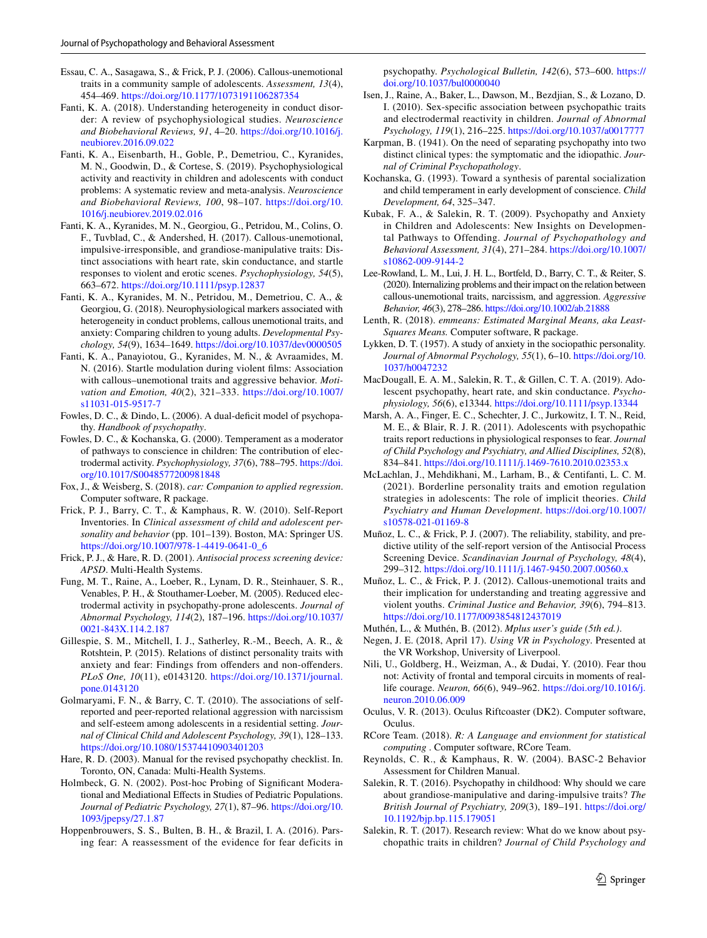- <span id="page-10-17"></span>Essau, C. A., Sasagawa, S., & Frick, P. J. (2006). Callous-unemotional traits in a community sample of adolescents. *Assessment, 13*(4), 454–469.<https://doi.org/10.1177/1073191106287354>
- <span id="page-10-36"></span>Fanti, K. A. (2018). Understanding heterogeneity in conduct disorder: A review of psychophysiological studies. *Neuroscience and Biobehavioral Reviews, 91*, 4–20. [https://doi.org/10.1016/j.](https://doi.org/10.1016/j.neubiorev.2016.09.022) [neubiorev.2016.09.022](https://doi.org/10.1016/j.neubiorev.2016.09.022)
- <span id="page-10-0"></span>Fanti, K. A., Eisenbarth, H., Goble, P., Demetriou, C., Kyranides, M. N., Goodwin, D., & Cortese, S. (2019). Psychophysiological activity and reactivity in children and adolescents with conduct problems: A systematic review and meta-analysis. *Neuroscience and Biobehavioral Reviews, 100*, 98–107. [https://doi.org/10.](https://doi.org/10.1016/j.neubiorev.2019.02.016) [1016/j.neubiorev.2019.02.016](https://doi.org/10.1016/j.neubiorev.2019.02.016)
- <span id="page-10-9"></span>Fanti, K. A., Kyranides, M. N., Georgiou, G., Petridou, M., Colins, O. F., Tuvblad, C., & Andershed, H. (2017). Callous-unemotional, impulsive-irresponsible, and grandiose-manipulative traits: Distinct associations with heart rate, skin conductance, and startle responses to violent and erotic scenes. *Psychophysiology, 54*(5), 663–672.<https://doi.org/10.1111/psyp.12837>
- <span id="page-10-32"></span>Fanti, K. A., Kyranides, M. N., Petridou, M., Demetriou, C. A., & Georgiou, G. (2018). Neurophysiological markers associated with heterogeneity in conduct problems, callous unemotional traits, and anxiety: Comparing children to young adults. *Developmental Psychology, 54*(9), 1634–1649. <https://doi.org/10.1037/dev0000505>
- <span id="page-10-13"></span>Fanti, K. A., Panayiotou, G., Kyranides, M. N., & Avraamides, M. N. (2016). Startle modulation during violent flms: Association with callous–unemotional traits and aggressive behavior. *Motivation and Emotion, 40*(2), 321–333. [https://doi.org/10.1007/](https://doi.org/10.1007/s11031-015-9517-7) [s11031-015-9517-7](https://doi.org/10.1007/s11031-015-9517-7)
- <span id="page-10-14"></span>Fowles, D. C., & Dindo, L. (2006). A dual-deficit model of psychopathy. *Handbook of psychopathy*.
- <span id="page-10-30"></span>Fowles, D. C., & Kochanska, G. (2000). Temperament as a moderator of pathways to conscience in children: The contribution of electrodermal activity. *Psychophysiology, 37*(6), 788–795. [https://doi.](https://doi.org/10.1017/S0048577200981848) [org/10.1017/S0048577200981848](https://doi.org/10.1017/S0048577200981848)
- <span id="page-10-22"></span>Fox, J., & Weisberg, S. (2018). *car: Companion to applied regression*. Computer software, R package.
- <span id="page-10-20"></span>Frick, P. J., Barry, C. T., & Kamphaus, R. W. (2010). Self-Report Inventories. In *Clinical assessment of child and adolescent personality and behavior* (pp. 101–139). Boston, MA: Springer US. [https://doi.org/10.1007/978-1-4419-0641-0\\_6](https://doi.org/10.1007/978-1-4419-0641-0_6)
- <span id="page-10-1"></span>Frick, P. J., & Hare, R. D. (2001). *Antisocial process screening device: APSD*. Multi-Health Systems.
- <span id="page-10-7"></span>Fung, M. T., Raine, A., Loeber, R., Lynam, D. R., Steinhauer, S. R., Venables, P. H., & Stouthamer-Loeber, M. (2005). Reduced electrodermal activity in psychopathy-prone adolescents. *Journal of Abnormal Psychology, 114*(2), 187–196. [https://doi.org/10.1037/](https://doi.org/10.1037/0021-843X.114.2.187) [0021-843X.114.2.187](https://doi.org/10.1037/0021-843X.114.2.187)
- <span id="page-10-12"></span>Gillespie, S. M., Mitchell, I. J., Satherley, R.-M., Beech, A. R., & Rotshtein, P. (2015). Relations of distinct personality traits with anxiety and fear: Findings from ofenders and non-ofenders. *PLoS One, 10*(11), e0143120. [https://doi.org/10.1371/journal.](https://doi.org/10.1371/journal.pone.0143120) [pone.0143120](https://doi.org/10.1371/journal.pone.0143120)
- <span id="page-10-28"></span>Golmaryami, F. N., & Barry, C. T. (2010). The associations of selfreported and peer-reported relational aggression with narcissism and self-esteem among adolescents in a residential setting. *Journal of Clinical Child and Adolescent Psychology, 39*(1), 128–133. <https://doi.org/10.1080/15374410903401203>
- <span id="page-10-16"></span>Hare, R. D. (2003). Manual for the revised psychopathy checklist. In. Toronto, ON, Canada: Multi-Health Systems.
- <span id="page-10-25"></span>Holmbeck, G. N. (2002). Post-hoc Probing of Signifcant Moderational and Mediational Efects in Studies of Pediatric Populations. *Journal of Pediatric Psychology, 27*(1), 87–96. [https://doi.org/10.](https://doi.org/10.1093/jpepsy/27.1.87) [1093/jpepsy/27.1.87](https://doi.org/10.1093/jpepsy/27.1.87)
- <span id="page-10-6"></span>Hoppenbrouwers, S. S., Bulten, B. H., & Brazil, I. A. (2016). Parsing fear: A reassessment of the evidence for fear deficits in

psychopathy. *Psychological Bulletin, 142*(6), 573–600. [https://](https://doi.org/10.1037/bul0000040) [doi.org/10.1037/bul0000040](https://doi.org/10.1037/bul0000040)

- <span id="page-10-8"></span>Isen, J., Raine, A., Baker, L., Dawson, M., Bezdjian, S., & Lozano, D. I. (2010). Sex-specifc association between psychopathic traits and electrodermal reactivity in children. *Journal of Abnormal Psychology, 119*(1), 216–225.<https://doi.org/10.1037/a0017777>
- <span id="page-10-4"></span>Karpman, B. (1941). On the need of separating psychopathy into two distinct clinical types: the symptomatic and the idiopathic. *Journal of Criminal Psychopathology*.
- <span id="page-10-31"></span>Kochanska, G. (1993). Toward a synthesis of parental socialization and child temperament in early development of conscience. *Child Development, 64*, 325–347.
- <span id="page-10-11"></span>Kubak, F. A., & Salekin, R. T. (2009). Psychopathy and Anxiety in Children and Adolescents: New Insights on Developmental Pathways to Offending. *Journal of Psychopathology and Behavioral Assessment, 31*(4), 271–284. [https://doi.org/10.1007/](https://doi.org/10.1007/s10862-009-9144-2) [s10862-009-9144-2](https://doi.org/10.1007/s10862-009-9144-2)
- <span id="page-10-27"></span>Lee-Rowland, L. M., Lui, J. H. L., Bortfeld, D., Barry, C. T., & Reiter, S. (2020). Internalizing problems and their impact on the relation between callous-unemotional traits, narcissism, and aggression. *Aggressive Behavior, 46*(3), 278–286.<https://doi.org/10.1002/ab.21888>
- <span id="page-10-23"></span>Lenth, R. (2018). *emmeans: Estimated Marginal Means, aka Least-Squares Means.* Computer software, R package.
- <span id="page-10-5"></span>Lykken, D. T. (1957). A study of anxiety in the sociopathic personality. *Journal of Abnormal Psychology, 55*(1), 6–10. [https://doi.org/10.](https://doi.org/10.1037/h0047232) [1037/h0047232](https://doi.org/10.1037/h0047232)
- <span id="page-10-10"></span>MacDougall, E. A. M., Salekin, R. T., & Gillen, C. T. A. (2019). Adolescent psychopathy, heart rate, and skin conductance. *Psychophysiology, 56*(6), e13344. <https://doi.org/10.1111/psyp.13344>
- <span id="page-10-33"></span>Marsh, A. A., Finger, E. C., Schechter, J. C., Jurkowitz, I. T. N., Reid, M. E., & Blair, R. J. R. (2011). Adolescents with psychopathic traits report reductions in physiological responses to fear. *Journal of Child Psychology and Psychiatry, and Allied Disciplines, 52*(8), 834–841.<https://doi.org/10.1111/j.1469-7610.2010.02353.x>
- <span id="page-10-35"></span>McLachlan, J., Mehdikhani, M., Larham, B., & Centifanti, L. C. M. (2021). Borderline personality traits and emotion regulation strategies in adolescents: The role of implicit theories. *Child Psychiatry and Human Development*. [https://doi.org/10.1007/](https://doi.org/10.1007/s10578-021-01169-8) [s10578-021-01169-8](https://doi.org/10.1007/s10578-021-01169-8)
- <span id="page-10-18"></span>Muñoz, L. C., & Frick, P. J. (2007). The reliability, stability, and predictive utility of the self-report version of the Antisocial Process Screening Device. *Scandinavian Journal of Psychology, 48*(4), 299–312.<https://doi.org/10.1111/j.1467-9450.2007.00560.x>
- <span id="page-10-29"></span>Muñoz, L. C., & Frick, P. J. (2012). Callous-unemotional traits and their implication for understanding and treating aggressive and violent youths. *Criminal Justice and Behavior, 39*(6), 794–813. <https://doi.org/10.1177/0093854812437019>
- <span id="page-10-21"></span>Muthén, L., & Muthén, B. (2012). *Mplus user's guide (5th ed.)*.
- <span id="page-10-34"></span>Negen, J. E. (2018, April 17). *Using VR in Psychology*. Presented at the VR Workshop, University of Liverpool.
- <span id="page-10-26"></span>Nili, U., Goldberg, H., Weizman, A., & Dudai, Y. (2010). Fear thou not: Activity of frontal and temporal circuits in moments of reallife courage. *Neuron, 66*(6), 949–962. [https://doi.org/10.1016/j.](https://doi.org/10.1016/j.neuron.2010.06.009) [neuron.2010.06.009](https://doi.org/10.1016/j.neuron.2010.06.009)
- <span id="page-10-15"></span>Oculus, V. R. (2013). Oculus Riftcoaster (DK2). Computer software, Oculus.
- <span id="page-10-24"></span>RCore Team. (2018). *R: A Language and envionment for statistical computing* . Computer software, RCore Team.
- <span id="page-10-19"></span>Reynolds, C. R., & Kamphaus, R. W. (2004). BASC-2 Behavior Assessment for Children Manual.
- <span id="page-10-2"></span>Salekin, R. T. (2016). Psychopathy in childhood: Why should we care about grandiose-manipulative and daring-impulsive traits? *The British Journal of Psychiatry, 209*(3), 189–191. [https://doi.org/](https://doi.org/10.1192/bjp.bp.115.179051) [10.1192/bjp.bp.115.179051](https://doi.org/10.1192/bjp.bp.115.179051)
- <span id="page-10-3"></span>Salekin, R. T. (2017). Research review: What do we know about psychopathic traits in children? *Journal of Child Psychology and*